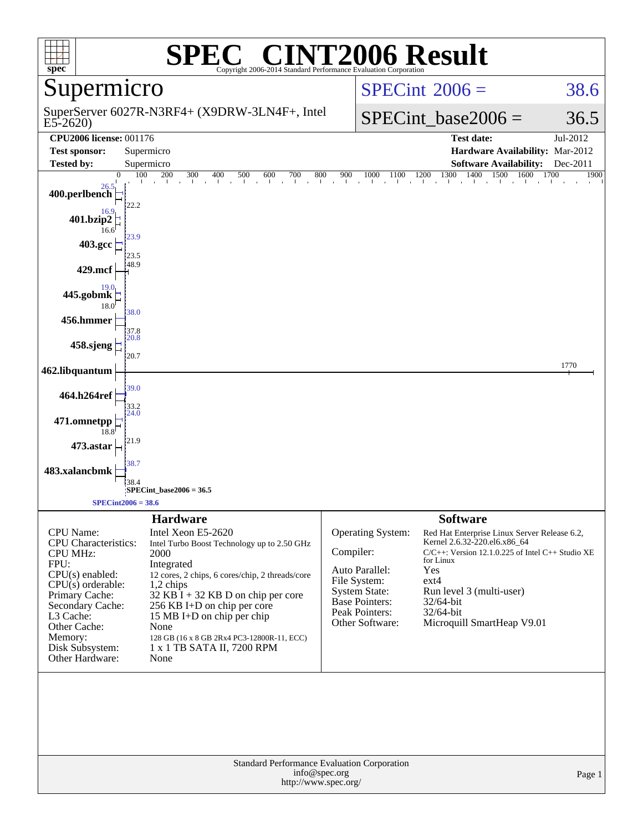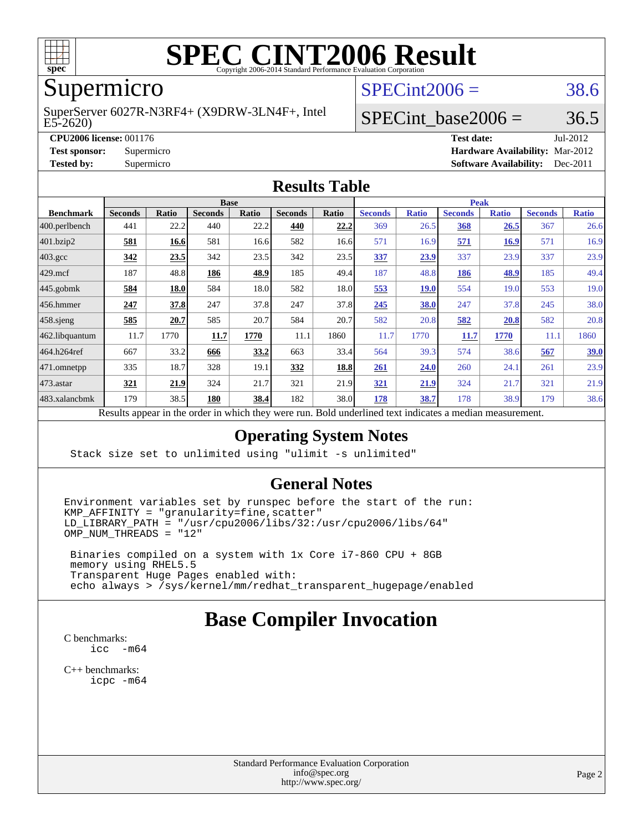

# **[SPEC CINT2006 Result](http://www.spec.org/auto/cpu2006/Docs/result-fields.html#SPECCINT2006Result)**

# Supermicro

E5-2620) SuperServer 6027R-N3RF4+ (X9DRW-3LN4F+, Intel  $SPECint2006 = 38.6$  $SPECint2006 = 38.6$ 

### SPECint base2006 =  $36.5$

**[CPU2006 license:](http://www.spec.org/auto/cpu2006/Docs/result-fields.html#CPU2006license)** 001176 **[Test date:](http://www.spec.org/auto/cpu2006/Docs/result-fields.html#Testdate)** Jul-2012 **[Test sponsor:](http://www.spec.org/auto/cpu2006/Docs/result-fields.html#Testsponsor)** Supermicro **[Hardware Availability:](http://www.spec.org/auto/cpu2006/Docs/result-fields.html#HardwareAvailability)** Mar-2012 **[Tested by:](http://www.spec.org/auto/cpu2006/Docs/result-fields.html#Testedby)** Supermicro **Supermicro [Software Availability:](http://www.spec.org/auto/cpu2006/Docs/result-fields.html#SoftwareAvailability)** Dec-2011

#### **[Results Table](http://www.spec.org/auto/cpu2006/Docs/result-fields.html#ResultsTable)**

|                    | <b>Base</b>    |       |                |       |                |       | <b>Peak</b>                         |              |                |              |                |              |  |  |  |  |  |  |
|--------------------|----------------|-------|----------------|-------|----------------|-------|-------------------------------------|--------------|----------------|--------------|----------------|--------------|--|--|--|--|--|--|
| <b>Benchmark</b>   | <b>Seconds</b> | Ratio | <b>Seconds</b> | Ratio | <b>Seconds</b> | Ratio | <b>Seconds</b>                      | <b>Ratio</b> | <b>Seconds</b> | <b>Ratio</b> | <b>Seconds</b> | <b>Ratio</b> |  |  |  |  |  |  |
| 400.perlbench      | 441            | 22.2  | 440            | 22.2  | 440            | 22.2  | 369                                 | 26.5         | <b>368</b>     | 26.5         | 367            | 26.6         |  |  |  |  |  |  |
| 401.bzip2          | 581            | 16.6  | 581            | 16.6  | 582            | 16.6  | 571                                 | 16.9         | 571            | <u>16.9</u>  | 571            | 16.9         |  |  |  |  |  |  |
| $403.\mathrm{gcc}$ | 342            | 23.5  | 342            | 23.5  | 342            | 23.5  | 337                                 | 23.9         | 337            | 23.9         | 337            | 23.9         |  |  |  |  |  |  |
| $429$ .mcf         | 187            | 48.8  | 186            | 48.9  | 185            | 49.4  | 187                                 | 48.8         | 186            | 48.9         | 185            | 49.4         |  |  |  |  |  |  |
| $445$ .gobmk       | 584            | 18.0  | 584            | 18.0  | 582            | 18.0  | 553                                 | 19.0         | 554            | 19.0         | 553            | 19.0         |  |  |  |  |  |  |
| $ 456$ .hmmer      | 247            | 37.8  | 247            | 37.8  | 247            | 37.8  | 245                                 | 38.0         | 247            | 37.8         | 245            | 38.0         |  |  |  |  |  |  |
| $458$ .sjeng       | 585            | 20.7  | 585            | 20.7  | 584            | 20.7  | 582                                 | 20.8         | 582            | 20.8         | 582            | 20.8         |  |  |  |  |  |  |
| 462.libquantum     | 11.7           | 1770  | 11.7           | 1770  | 11.1           | 1860  | 11.7                                | 1770         | 11.7           | 1770         | 11.1           | 1860         |  |  |  |  |  |  |
| 464.h264ref        | 667            | 33.2  | 666            | 33.2  | 663            | 33.4  | 564                                 | 39.3         | 574            | 38.6         | 567            | 39.0         |  |  |  |  |  |  |
| 471.omnetpp        | 335            | 18.7  | 328            | 19.1  | 332            | 18.8  | 261                                 | 24.0         | 260            | 24.1         | 261            | 23.9         |  |  |  |  |  |  |
| $473.$ astar       | 321            | 21.9  | 324            | 21.7  | 321            | 21.9  | 321                                 | 21.9         | 324            | 21.7         | 321            | 21.9         |  |  |  |  |  |  |
| 483.xalancbmk      | 179            | 38.5  | 180            | 38.4  | 182            | 38.0  | 178                                 | 38.7         | 178            | 38.9         | 179            | 38.6         |  |  |  |  |  |  |
|                    |                |       |                |       |                |       | $\mathbf{r}$<br>1.1<br>$\mathbf{1}$ |              |                |              |                |              |  |  |  |  |  |  |

Results appear in the [order in which they were run.](http://www.spec.org/auto/cpu2006/Docs/result-fields.html#RunOrder) Bold underlined text [indicates a median measurement.](http://www.spec.org/auto/cpu2006/Docs/result-fields.html#Median)

#### **[Operating System Notes](http://www.spec.org/auto/cpu2006/Docs/result-fields.html#OperatingSystemNotes)**

Stack size set to unlimited using "ulimit -s unlimited"

#### **[General Notes](http://www.spec.org/auto/cpu2006/Docs/result-fields.html#GeneralNotes)**

Environment variables set by runspec before the start of the run:  $KMP_AFFINITY = "granularity=fine, scatter"$  $LD$ \_LIBRARY\_PATH = "/usr/cpu2006/libs/32:/usr/cpu2006/libs/64"  $OMP$  NUM THREADS = "12"

 Binaries compiled on a system with 1x Core i7-860 CPU + 8GB memory using RHEL5.5 Transparent Huge Pages enabled with: echo always > /sys/kernel/mm/redhat\_transparent\_hugepage/enabled

## **[Base Compiler Invocation](http://www.spec.org/auto/cpu2006/Docs/result-fields.html#BaseCompilerInvocation)**

[C benchmarks](http://www.spec.org/auto/cpu2006/Docs/result-fields.html#Cbenchmarks): [icc -m64](http://www.spec.org/cpu2006/results/res2012q3/cpu2006-20120711-23613.flags.html#user_CCbase_intel_icc_64bit_f346026e86af2a669e726fe758c88044)

[C++ benchmarks:](http://www.spec.org/auto/cpu2006/Docs/result-fields.html#CXXbenchmarks) [icpc -m64](http://www.spec.org/cpu2006/results/res2012q3/cpu2006-20120711-23613.flags.html#user_CXXbase_intel_icpc_64bit_fc66a5337ce925472a5c54ad6a0de310)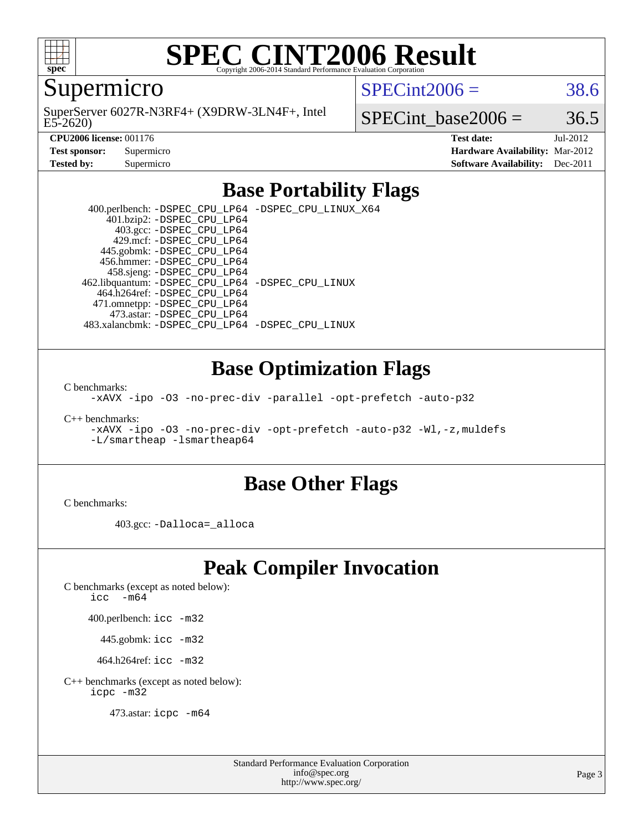

# **[SPEC CINT2006 Result](http://www.spec.org/auto/cpu2006/Docs/result-fields.html#SPECCINT2006Result)**

Supermicro

E5-2620) SuperServer 6027R-N3RF4+ (X9DRW-3LN4F+, Intel  $SPECint2006 = 38.6$  $SPECint2006 = 38.6$ 

SPECint base2006 =  $36.5$ 

**[CPU2006 license:](http://www.spec.org/auto/cpu2006/Docs/result-fields.html#CPU2006license)** 001176 **[Test date:](http://www.spec.org/auto/cpu2006/Docs/result-fields.html#Testdate)** Jul-2012 **[Test sponsor:](http://www.spec.org/auto/cpu2006/Docs/result-fields.html#Testsponsor)** Supermicro **[Hardware Availability:](http://www.spec.org/auto/cpu2006/Docs/result-fields.html#HardwareAvailability)** Mar-2012 **[Tested by:](http://www.spec.org/auto/cpu2006/Docs/result-fields.html#Testedby)** Supermicro **Supermicro [Software Availability:](http://www.spec.org/auto/cpu2006/Docs/result-fields.html#SoftwareAvailability)** Dec-2011

### **[Base Portability Flags](http://www.spec.org/auto/cpu2006/Docs/result-fields.html#BasePortabilityFlags)**

 400.perlbench: [-DSPEC\\_CPU\\_LP64](http://www.spec.org/cpu2006/results/res2012q3/cpu2006-20120711-23613.flags.html#b400.perlbench_basePORTABILITY_DSPEC_CPU_LP64) [-DSPEC\\_CPU\\_LINUX\\_X64](http://www.spec.org/cpu2006/results/res2012q3/cpu2006-20120711-23613.flags.html#b400.perlbench_baseCPORTABILITY_DSPEC_CPU_LINUX_X64) 401.bzip2: [-DSPEC\\_CPU\\_LP64](http://www.spec.org/cpu2006/results/res2012q3/cpu2006-20120711-23613.flags.html#suite_basePORTABILITY401_bzip2_DSPEC_CPU_LP64) 403.gcc: [-DSPEC\\_CPU\\_LP64](http://www.spec.org/cpu2006/results/res2012q3/cpu2006-20120711-23613.flags.html#suite_basePORTABILITY403_gcc_DSPEC_CPU_LP64) 429.mcf: [-DSPEC\\_CPU\\_LP64](http://www.spec.org/cpu2006/results/res2012q3/cpu2006-20120711-23613.flags.html#suite_basePORTABILITY429_mcf_DSPEC_CPU_LP64) 445.gobmk: [-DSPEC\\_CPU\\_LP64](http://www.spec.org/cpu2006/results/res2012q3/cpu2006-20120711-23613.flags.html#suite_basePORTABILITY445_gobmk_DSPEC_CPU_LP64) 456.hmmer: [-DSPEC\\_CPU\\_LP64](http://www.spec.org/cpu2006/results/res2012q3/cpu2006-20120711-23613.flags.html#suite_basePORTABILITY456_hmmer_DSPEC_CPU_LP64) 458.sjeng: [-DSPEC\\_CPU\\_LP64](http://www.spec.org/cpu2006/results/res2012q3/cpu2006-20120711-23613.flags.html#suite_basePORTABILITY458_sjeng_DSPEC_CPU_LP64) 462.libquantum: [-DSPEC\\_CPU\\_LP64](http://www.spec.org/cpu2006/results/res2012q3/cpu2006-20120711-23613.flags.html#suite_basePORTABILITY462_libquantum_DSPEC_CPU_LP64) [-DSPEC\\_CPU\\_LINUX](http://www.spec.org/cpu2006/results/res2012q3/cpu2006-20120711-23613.flags.html#b462.libquantum_baseCPORTABILITY_DSPEC_CPU_LINUX) 464.h264ref: [-DSPEC\\_CPU\\_LP64](http://www.spec.org/cpu2006/results/res2012q3/cpu2006-20120711-23613.flags.html#suite_basePORTABILITY464_h264ref_DSPEC_CPU_LP64) 471.omnetpp: [-DSPEC\\_CPU\\_LP64](http://www.spec.org/cpu2006/results/res2012q3/cpu2006-20120711-23613.flags.html#suite_basePORTABILITY471_omnetpp_DSPEC_CPU_LP64) 473.astar: [-DSPEC\\_CPU\\_LP64](http://www.spec.org/cpu2006/results/res2012q3/cpu2006-20120711-23613.flags.html#suite_basePORTABILITY473_astar_DSPEC_CPU_LP64) 483.xalancbmk: [-DSPEC\\_CPU\\_LP64](http://www.spec.org/cpu2006/results/res2012q3/cpu2006-20120711-23613.flags.html#suite_basePORTABILITY483_xalancbmk_DSPEC_CPU_LP64) [-DSPEC\\_CPU\\_LINUX](http://www.spec.org/cpu2006/results/res2012q3/cpu2006-20120711-23613.flags.html#b483.xalancbmk_baseCXXPORTABILITY_DSPEC_CPU_LINUX)

### **[Base Optimization Flags](http://www.spec.org/auto/cpu2006/Docs/result-fields.html#BaseOptimizationFlags)**

[C benchmarks](http://www.spec.org/auto/cpu2006/Docs/result-fields.html#Cbenchmarks):

[-xAVX](http://www.spec.org/cpu2006/results/res2012q3/cpu2006-20120711-23613.flags.html#user_CCbase_f-xAVX) [-ipo](http://www.spec.org/cpu2006/results/res2012q3/cpu2006-20120711-23613.flags.html#user_CCbase_f-ipo) [-O3](http://www.spec.org/cpu2006/results/res2012q3/cpu2006-20120711-23613.flags.html#user_CCbase_f-O3) [-no-prec-div](http://www.spec.org/cpu2006/results/res2012q3/cpu2006-20120711-23613.flags.html#user_CCbase_f-no-prec-div) [-parallel](http://www.spec.org/cpu2006/results/res2012q3/cpu2006-20120711-23613.flags.html#user_CCbase_f-parallel) [-opt-prefetch](http://www.spec.org/cpu2006/results/res2012q3/cpu2006-20120711-23613.flags.html#user_CCbase_f-opt-prefetch) [-auto-p32](http://www.spec.org/cpu2006/results/res2012q3/cpu2006-20120711-23613.flags.html#user_CCbase_f-auto-p32)

[C++ benchmarks:](http://www.spec.org/auto/cpu2006/Docs/result-fields.html#CXXbenchmarks)

[-xAVX](http://www.spec.org/cpu2006/results/res2012q3/cpu2006-20120711-23613.flags.html#user_CXXbase_f-xAVX) [-ipo](http://www.spec.org/cpu2006/results/res2012q3/cpu2006-20120711-23613.flags.html#user_CXXbase_f-ipo) [-O3](http://www.spec.org/cpu2006/results/res2012q3/cpu2006-20120711-23613.flags.html#user_CXXbase_f-O3) [-no-prec-div](http://www.spec.org/cpu2006/results/res2012q3/cpu2006-20120711-23613.flags.html#user_CXXbase_f-no-prec-div) [-opt-prefetch](http://www.spec.org/cpu2006/results/res2012q3/cpu2006-20120711-23613.flags.html#user_CXXbase_f-opt-prefetch) [-auto-p32](http://www.spec.org/cpu2006/results/res2012q3/cpu2006-20120711-23613.flags.html#user_CXXbase_f-auto-p32) [-Wl,-z,muldefs](http://www.spec.org/cpu2006/results/res2012q3/cpu2006-20120711-23613.flags.html#user_CXXbase_link_force_multiple1_74079c344b956b9658436fd1b6dd3a8a) [-L/smartheap -lsmartheap64](http://www.spec.org/cpu2006/results/res2012q3/cpu2006-20120711-23613.flags.html#user_CXXbase_SmartHeap64_5e654037dadeae1fe403ab4b4466e60b)

#### **[Base Other Flags](http://www.spec.org/auto/cpu2006/Docs/result-fields.html#BaseOtherFlags)**

[C benchmarks](http://www.spec.org/auto/cpu2006/Docs/result-fields.html#Cbenchmarks):

403.gcc: [-Dalloca=\\_alloca](http://www.spec.org/cpu2006/results/res2012q3/cpu2006-20120711-23613.flags.html#b403.gcc_baseEXTRA_CFLAGS_Dalloca_be3056838c12de2578596ca5467af7f3)

## **[Peak Compiler Invocation](http://www.spec.org/auto/cpu2006/Docs/result-fields.html#PeakCompilerInvocation)**

[C benchmarks \(except as noted below\)](http://www.spec.org/auto/cpu2006/Docs/result-fields.html#Cbenchmarksexceptasnotedbelow):

[icc -m64](http://www.spec.org/cpu2006/results/res2012q3/cpu2006-20120711-23613.flags.html#user_CCpeak_intel_icc_64bit_f346026e86af2a669e726fe758c88044)

400.perlbench: [icc -m32](http://www.spec.org/cpu2006/results/res2012q3/cpu2006-20120711-23613.flags.html#user_peakCCLD400_perlbench_intel_icc_a6a621f8d50482236b970c6ac5f55f93)

445.gobmk: [icc -m32](http://www.spec.org/cpu2006/results/res2012q3/cpu2006-20120711-23613.flags.html#user_peakCCLD445_gobmk_intel_icc_a6a621f8d50482236b970c6ac5f55f93)

464.h264ref: [icc -m32](http://www.spec.org/cpu2006/results/res2012q3/cpu2006-20120711-23613.flags.html#user_peakCCLD464_h264ref_intel_icc_a6a621f8d50482236b970c6ac5f55f93)

[C++ benchmarks \(except as noted below\):](http://www.spec.org/auto/cpu2006/Docs/result-fields.html#CXXbenchmarksexceptasnotedbelow) [icpc -m32](http://www.spec.org/cpu2006/results/res2012q3/cpu2006-20120711-23613.flags.html#user_CXXpeak_intel_icpc_4e5a5ef1a53fd332b3c49e69c3330699)

473.astar: [icpc -m64](http://www.spec.org/cpu2006/results/res2012q3/cpu2006-20120711-23613.flags.html#user_peakCXXLD473_astar_intel_icpc_64bit_fc66a5337ce925472a5c54ad6a0de310)

Standard Performance Evaluation Corporation [info@spec.org](mailto:info@spec.org) <http://www.spec.org/>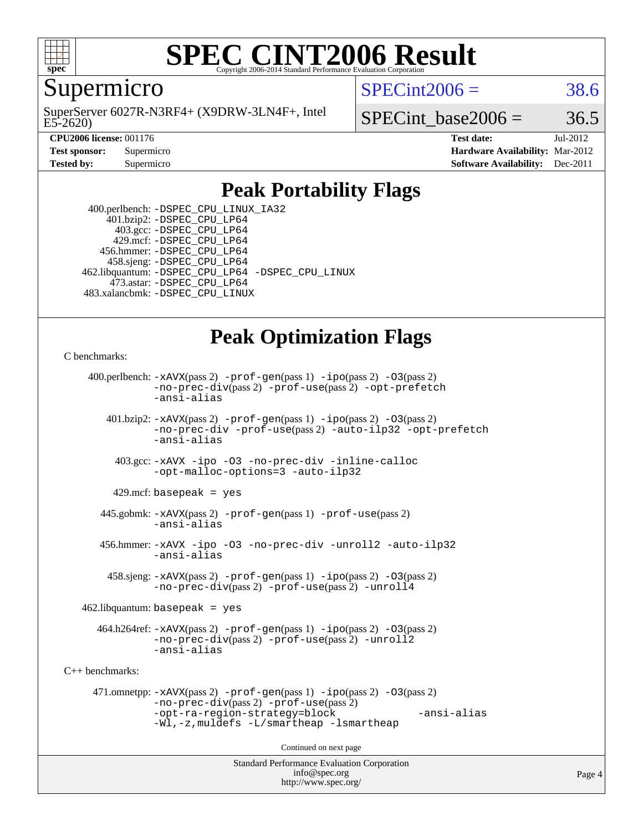

#### **[SPEC CINT2006 Result](http://www.spec.org/auto/cpu2006/Docs/result-fields.html#SPECCINT2006Result)** Copyright 2006-2014 Standard Performance Evaluation C

Supermicro

E5-2620) SuperServer 6027R-N3RF4+ (X9DRW-3LN4F+, Intel  $SPECint2006 = 38.6$  $SPECint2006 = 38.6$ 

SPECint base2006 =  $36.5$ 

**[CPU2006 license:](http://www.spec.org/auto/cpu2006/Docs/result-fields.html#CPU2006license)** 001176 **[Test date:](http://www.spec.org/auto/cpu2006/Docs/result-fields.html#Testdate)** Jul-2012 **[Test sponsor:](http://www.spec.org/auto/cpu2006/Docs/result-fields.html#Testsponsor)** Supermicro **[Hardware Availability:](http://www.spec.org/auto/cpu2006/Docs/result-fields.html#HardwareAvailability)** Mar-2012 **[Tested by:](http://www.spec.org/auto/cpu2006/Docs/result-fields.html#Testedby)** Supermicro **Supermicro [Software Availability:](http://www.spec.org/auto/cpu2006/Docs/result-fields.html#SoftwareAvailability)** Dec-2011

## **[Peak Portability Flags](http://www.spec.org/auto/cpu2006/Docs/result-fields.html#PeakPortabilityFlags)**

 400.perlbench: [-DSPEC\\_CPU\\_LINUX\\_IA32](http://www.spec.org/cpu2006/results/res2012q3/cpu2006-20120711-23613.flags.html#b400.perlbench_peakCPORTABILITY_DSPEC_CPU_LINUX_IA32) 401.bzip2: [-DSPEC\\_CPU\\_LP64](http://www.spec.org/cpu2006/results/res2012q3/cpu2006-20120711-23613.flags.html#suite_peakPORTABILITY401_bzip2_DSPEC_CPU_LP64) 403.gcc: [-DSPEC\\_CPU\\_LP64](http://www.spec.org/cpu2006/results/res2012q3/cpu2006-20120711-23613.flags.html#suite_peakPORTABILITY403_gcc_DSPEC_CPU_LP64) 429.mcf: [-DSPEC\\_CPU\\_LP64](http://www.spec.org/cpu2006/results/res2012q3/cpu2006-20120711-23613.flags.html#suite_peakPORTABILITY429_mcf_DSPEC_CPU_LP64) 456.hmmer: [-DSPEC\\_CPU\\_LP64](http://www.spec.org/cpu2006/results/res2012q3/cpu2006-20120711-23613.flags.html#suite_peakPORTABILITY456_hmmer_DSPEC_CPU_LP64) 458.sjeng: [-DSPEC\\_CPU\\_LP64](http://www.spec.org/cpu2006/results/res2012q3/cpu2006-20120711-23613.flags.html#suite_peakPORTABILITY458_sjeng_DSPEC_CPU_LP64) 462.libquantum: [-DSPEC\\_CPU\\_LP64](http://www.spec.org/cpu2006/results/res2012q3/cpu2006-20120711-23613.flags.html#suite_peakPORTABILITY462_libquantum_DSPEC_CPU_LP64) [-DSPEC\\_CPU\\_LINUX](http://www.spec.org/cpu2006/results/res2012q3/cpu2006-20120711-23613.flags.html#b462.libquantum_peakCPORTABILITY_DSPEC_CPU_LINUX) 473.astar: [-DSPEC\\_CPU\\_LP64](http://www.spec.org/cpu2006/results/res2012q3/cpu2006-20120711-23613.flags.html#suite_peakPORTABILITY473_astar_DSPEC_CPU_LP64) 483.xalancbmk: [-DSPEC\\_CPU\\_LINUX](http://www.spec.org/cpu2006/results/res2012q3/cpu2006-20120711-23613.flags.html#b483.xalancbmk_peakCXXPORTABILITY_DSPEC_CPU_LINUX)

## **[Peak Optimization Flags](http://www.spec.org/auto/cpu2006/Docs/result-fields.html#PeakOptimizationFlags)**

[C benchmarks](http://www.spec.org/auto/cpu2006/Docs/result-fields.html#Cbenchmarks):

```
Standard Performance Evaluation Corporation
                                          info@spec.org
     400.perlbench: -xAVX(pass 2) -prof-gen(pass 1) -ipo(pass 2) -O3(pass 2)
                -no-prec-div(pass 2) -prof-use(pass 2) -opt-prefetch
                -ansi-alias
        401.bzip2: -xAVX(pass 2) -prof-gen(pass 1) -ipo(pass 2) -O3(pass 2)
                -no-prec-div -prof-use(pass 2) -auto-ilp32 -opt-prefetch
                -ansi-alias
          403.gcc: -xAVX -ipo -O3 -no-prec-div -inline-calloc
                -opt-malloc-options=3 -auto-ilp32
         429.mcf: basepeak = yes
       445.gobmk: -xAVX(pass 2) -prof-gen(pass 1) -prof-use(pass 2)
                -ansi-alias
       456.hmmer: -xAVX -ipo -O3 -no-prec-div -unroll2 -auto-ilp32
                -ansi-alias
         458.sjeng: -xAVX(pass 2) -prof-gen(pass 1) -ipo(pass 2) -O3(pass 2)
                -no-prec-div(pass 2) -prof-use(pass 2) -unroll4
    462.libquantum: basepeak = yes
       464.h264ref: -xAVX(pass 2) -prof-gen(pass 1) -ipo(pass 2) -O3(pass 2)
                -no-prec-div(pass 2) -prof-use(pass 2) -unroll2
                -ansi-alias
C++ benchmarks: 
      471.omnetpp: -xAVX(pass 2) -prof-gen(pass 1) -ipo(pass 2) -O3(pass 2)
                -no-prec-div(pass 2) -prof-use(pass 2)
                -opt-ra-region-strategy=block -ansi-alias
                -Wl,-z,muldefs -L/smartheap -lsmartheap
                                        Continued on next page
```
<http://www.spec.org/>

Page 4